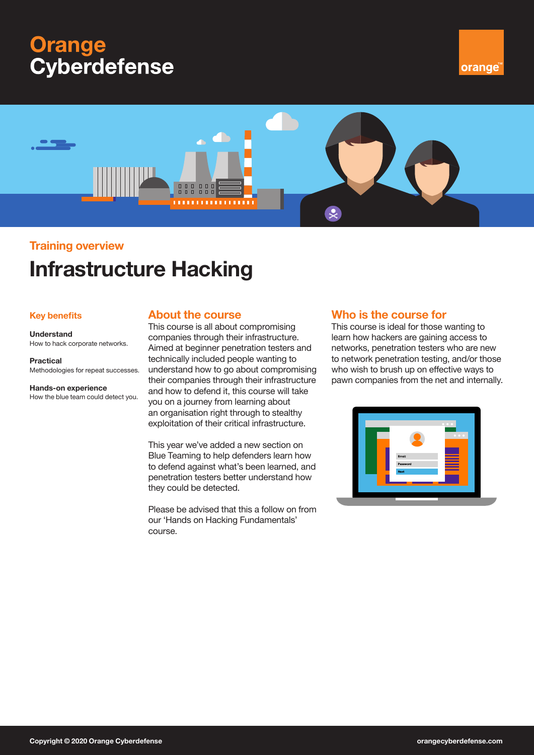# **Orange Cyberdefense**





# **Training overview**

# **Infrastructure Hacking**

### **Key benefits**

### **Understand** How to hack corporate networks.

**Practical**

Methodologies for repeat successes.

**Hands-on experience** How the blue team could detect you.

## **About the course**

This course is all about compromising companies through their infrastructure. Aimed at beginner penetration testers and technically included people wanting to understand how to go about compromising their companies through their infrastructure and how to defend it, this course will take you on a journey from learning about an organisation right through to stealthy exploitation of their critical infrastructure.

This year we've added a new section on Blue Teaming to help defenders learn how to defend against what's been learned, and penetration testers better understand how they could be detected.

Please be advised that this a follow on from our 'Hands on Hacking Fundamentals' course.

## **Who is the course for**

This course is ideal for those wanting to learn how hackers are gaining access to networks, penetration testers who are new to network penetration testing, and/or those who wish to brush up on effective ways to pawn companies from the net and internally.